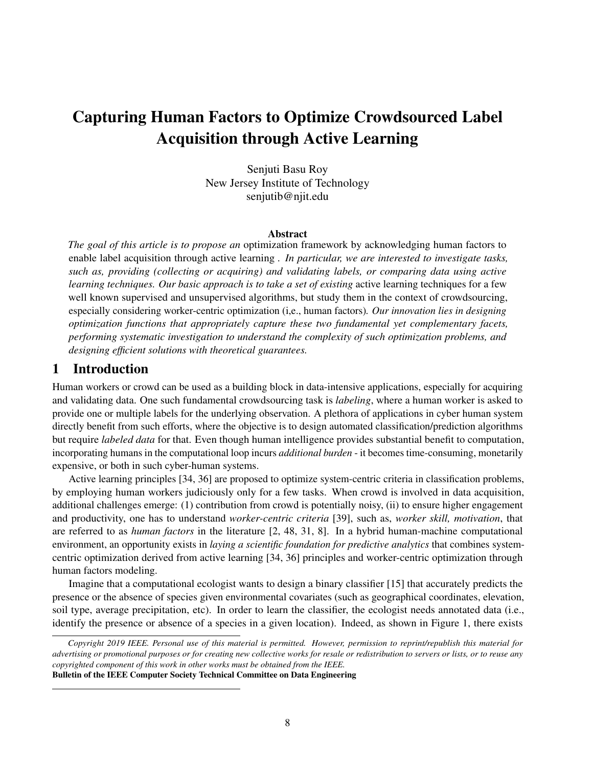# Capturing Human Factors to Optimize Crowdsourced Label Acquisition through Active Learning

Senjuti Basu Roy New Jersey Institute of Technology senjutib@njit.edu

## Abstract

*The goal of this article is to propose an* optimization framework by acknowledging human factors to enable label acquisition through active learning *. In particular, we are interested to investigate tasks, such as, providing (collecting or acquiring) and validating labels, or comparing data using active learning techniques. Our basic approach is to take a set of existing* active learning techniques for a few well known supervised and unsupervised algorithms, but study them in the context of crowdsourcing, especially considering worker-centric optimization (i,e., human factors)*. Our innovation lies in designing optimization functions that appropriately capture these two fundamental yet complementary facets, performing systematic investigation to understand the complexity of such optimization problems, and designing efficient solutions with theoretical guarantees.*

# 1 Introduction

Human workers or crowd can be used as a building block in data-intensive applications, especially for acquiring and validating data. One such fundamental crowdsourcing task is *labeling*, where a human worker is asked to provide one or multiple labels for the underlying observation. A plethora of applications in cyber human system directly benefit from such efforts, where the objective is to design automated classification/prediction algorithms but require *labeled data* for that. Even though human intelligence provides substantial benefit to computation, incorporating humans in the computational loop incurs *additional burden* - it becomes time-consuming, monetarily expensive, or both in such cyber-human systems.

Active learning principles [34, 36] are proposed to optimize system-centric criteria in classification problems, by employing human workers judiciously only for a few tasks. When crowd is involved in data acquisition, additional challenges emerge: (1) contribution from crowd is potentially noisy, (ii) to ensure higher engagement and productivity, one has to understand *worker-centric criteria* [39], such as, *worker skill, motivation*, that are referred to as *human factors* in the literature [2, 48, 31, 8]. In a hybrid human-machine computational environment, an opportunity exists in *laying a scientific foundation for predictive analytics* that combines systemcentric optimization derived from active learning [34, 36] principles and worker-centric optimization through human factors modeling.

Imagine that a computational ecologist wants to design a binary classifier [15] that accurately predicts the presence or the absence of species given environmental covariates (such as geographical coordinates, elevation, soil type, average precipitation, etc). In order to learn the classifier, the ecologist needs annotated data (i.e., identify the presence or absence of a species in a given location). Indeed, as shown in Figure 1, there exists

*Copyright 2019 IEEE. Personal use of this material is permitted. However, permission to reprint/republish this material for advertising or promotional purposes or for creating new collective works for resale or redistribution to servers or lists, or to reuse any copyrighted component of this work in other works must be obtained from the IEEE.* Bulletin of the IEEE Computer Society Technical Committee on Data Engineering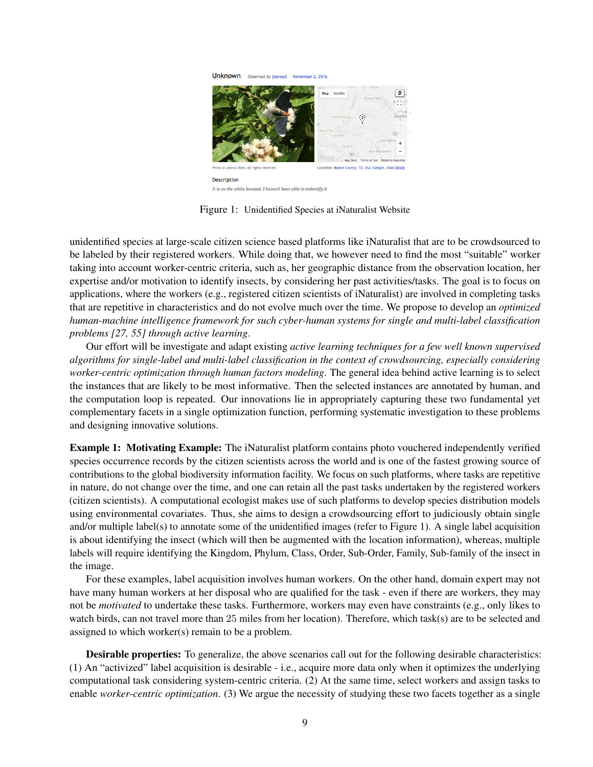

Figure 1: Unidentified Species at iNaturalist Website

unidentified species at large-scale citizen science based platforms like iNaturalist that are to be crowdsourced to be labeled by their registered workers. While doing that, we however need to find the most "suitable" worker taking into account worker-centric criteria, such as, her geographic distance from the observation location, her expertise and/or motivation to identify insects, by considering her past activities/tasks. The goal is to focus on applications, where the workers (e.g., registered citizen scientists of iNaturalist) are involved in completing tasks that are repetitive in characteristics and do not evolve much over the time. We propose to develop an *optimized human-machine intelligence framework for such cyber-human systems for single and multi-label classification problems [27, 55] through active learning*.

Our effort will be investigate and adapt existing *active learning techniques for a few well known supervised algorithms for single-label and multi-label classification in the context of crowdsourcing, especially considering worker-centric optimization through human factors modeling*. The general idea behind active learning is to select the instances that are likely to be most informative. Then the selected instances are annotated by human, and the computation loop is repeated. Our innovations lie in appropriately capturing these two fundamental yet complementary facets in a single optimization function, performing systematic investigation to these problems and designing innovative solutions.

Example 1: Motivating Example: The iNaturalist platform contains photo vouchered independently verified species occurrence records by the citizen scientists across the world and is one of the fastest growing source of contributions to the global biodiversity information facility. We focus on such platforms, where tasks are repetitive in nature, do not change over the time, and one can retain all the past tasks undertaken by the registered workers (citizen scientists). A computational ecologist makes use of such platforms to develop species distribution models using environmental covariates. Thus, she aims to design a crowdsourcing effort to judiciously obtain single and/or multiple label(s) to annotate some of the unidentified images (refer to Figure 1). A single label acquisition is about identifying the insect (which will then be augmented with the location information), whereas, multiple labels will require identifying the Kingdom, Phylum, Class, Order, Sub-Order, Family, Sub-family of the insect in the image.

For these examples, label acquisition involves human workers. On the other hand, domain expert may not have many human workers at her disposal who are qualified for the task - even if there are workers, they may not be *motivated* to undertake these tasks. Furthermore, workers may even have constraints (e.g., only likes to watch birds, can not travel more than 25 miles from her location). Therefore, which task(s) are to be selected and assigned to which worker(s) remain to be a problem.

Desirable properties: To generalize, the above scenarios call out for the following desirable characteristics: (1) An "activized" label acquisition is desirable - i.e., acquire more data only when it optimizes the underlying computational task considering system-centric criteria. (2) At the same time, select workers and assign tasks to enable *worker-centric optimization*. (3) We argue the necessity of studying these two facets together as a single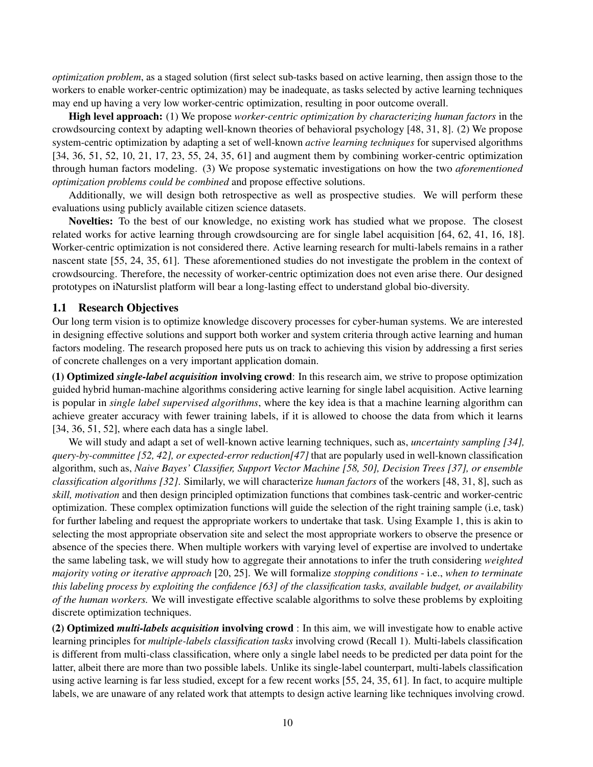*optimization problem*, as a staged solution (first select sub-tasks based on active learning, then assign those to the workers to enable worker-centric optimization) may be inadequate, as tasks selected by active learning techniques may end up having a very low worker-centric optimization, resulting in poor outcome overall.

High level approach: (1) We propose *worker-centric optimization by characterizing human factors* in the crowdsourcing context by adapting well-known theories of behavioral psychology [48, 31, 8]. (2) We propose system-centric optimization by adapting a set of well-known *active learning techniques* for supervised algorithms [34, 36, 51, 52, 10, 21, 17, 23, 55, 24, 35, 61] and augment them by combining worker-centric optimization through human factors modeling. (3) We propose systematic investigations on how the two *aforementioned optimization problems could be combined* and propose effective solutions.

Additionally, we will design both retrospective as well as prospective studies. We will perform these evaluations using publicly available citizen science datasets.

Novelties: To the best of our knowledge, no existing work has studied what we propose. The closest related works for active learning through crowdsourcing are for single label acquisition [64, 62, 41, 16, 18]. Worker-centric optimization is not considered there. Active learning research for multi-labels remains in a rather nascent state [55, 24, 35, 61]. These aforementioned studies do not investigate the problem in the context of crowdsourcing. Therefore, the necessity of worker-centric optimization does not even arise there. Our designed prototypes on iNaturslist platform will bear a long-lasting effect to understand global bio-diversity.

#### 1.1 Research Objectives

Our long term vision is to optimize knowledge discovery processes for cyber-human systems. We are interested in designing effective solutions and support both worker and system criteria through active learning and human factors modeling. The research proposed here puts us on track to achieving this vision by addressing a first series of concrete challenges on a very important application domain.

(1) Optimized *single-label acquisition* involving crowd: In this research aim, we strive to propose optimization guided hybrid human-machine algorithms considering active learning for single label acquisition. Active learning is popular in *single label supervised algorithms*, where the key idea is that a machine learning algorithm can achieve greater accuracy with fewer training labels, if it is allowed to choose the data from which it learns [34, 36, 51, 52], where each data has a single label.

We will study and adapt a set of well-known active learning techniques, such as, *uncertainty sampling [34], query-by-committee [52, 42], or expected-error reduction[47]* that are popularly used in well-known classification algorithm, such as, *Naive Bayes' Classifier, Support Vector Machine [58, 50], Decision Trees [37], or ensemble classification algorithms [32]*. Similarly, we will characterize *human factors* of the workers [48, 31, 8], such as *skill, motivation* and then design principled optimization functions that combines task-centric and worker-centric optimization. These complex optimization functions will guide the selection of the right training sample (i.e, task) for further labeling and request the appropriate workers to undertake that task. Using Example 1, this is akin to selecting the most appropriate observation site and select the most appropriate workers to observe the presence or absence of the species there. When multiple workers with varying level of expertise are involved to undertake the same labeling task, we will study how to aggregate their annotations to infer the truth considering *weighted majority voting or iterative approach* [20, 25]. We will formalize *stopping conditions* - i.e., *when to terminate this labeling process by exploiting the confidence [63] of the classification tasks, available budget, or availability of the human workers.* We will investigate effective scalable algorithms to solve these problems by exploiting discrete optimization techniques.

(2) Optimized *multi-labels acquisition* involving crowd : In this aim, we will investigate how to enable active learning principles for *multiple-labels classification tasks* involving crowd (Recall 1). Multi-labels classification is different from multi-class classification, where only a single label needs to be predicted per data point for the latter, albeit there are more than two possible labels. Unlike its single-label counterpart, multi-labels classification using active learning is far less studied, except for a few recent works [55, 24, 35, 61]. In fact, to acquire multiple labels, we are unaware of any related work that attempts to design active learning like techniques involving crowd.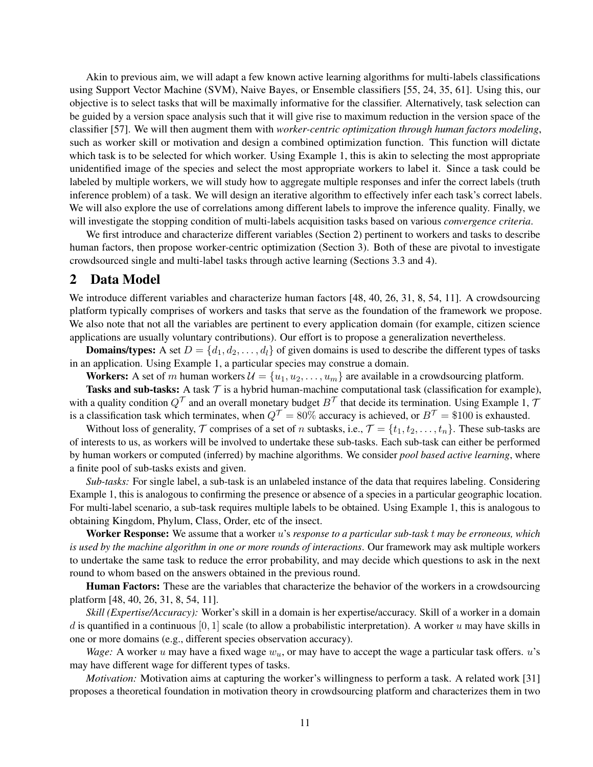Akin to previous aim, we will adapt a few known active learning algorithms for multi-labels classifications using Support Vector Machine (SVM), Naive Bayes, or Ensemble classifiers [55, 24, 35, 61]. Using this, our objective is to select tasks that will be maximally informative for the classifier. Alternatively, task selection can be guided by a version space analysis such that it will give rise to maximum reduction in the version space of the classifier [57]. We will then augment them with *worker-centric optimization through human factors modeling*, such as worker skill or motivation and design a combined optimization function. This function will dictate which task is to be selected for which worker. Using Example 1, this is akin to selecting the most appropriate unidentified image of the species and select the most appropriate workers to label it. Since a task could be labeled by multiple workers, we will study how to aggregate multiple responses and infer the correct labels (truth inference problem) of a task. We will design an iterative algorithm to effectively infer each task's correct labels. We will also explore the use of correlations among different labels to improve the inference quality. Finally, we will investigate the stopping condition of multi-labels acquisition tasks based on various *convergence criteria*.

We first introduce and characterize different variables (Section 2) pertinent to workers and tasks to describe human factors, then propose worker-centric optimization (Section 3). Both of these are pivotal to investigate crowdsourced single and multi-label tasks through active learning (Sections 3.3 and 4).

# 2 Data Model

We introduce different variables and characterize human factors [48, 40, 26, 31, 8, 54, 11]. A crowdsourcing platform typically comprises of workers and tasks that serve as the foundation of the framework we propose. We also note that not all the variables are pertinent to every application domain (for example, citizen science applications are usually voluntary contributions). Our effort is to propose a generalization nevertheless.

**Domains/types:** A set  $D = \{d_1, d_2, \ldots, d_l\}$  of given domains is used to describe the different types of tasks in an application. Using Example 1, a particular species may construe a domain.

**Workers:** A set of m human workers  $\mathcal{U} = \{u_1, u_2, \dots, u_m\}$  are available in a crowdsourcing platform.

Tasks and sub-tasks: A task  $\mathcal T$  is a hybrid human-machine computational task (classification for example), with a quality condition  $Q^{\mathcal{T}}$  and an overall monetary budget  $B^{\mathcal{T}}$  that decide its termination. Using Example 1, 7 is a classification task which terminates, when  $Q^{\mathcal{T}} = 80\%$  accuracy is achieved, or  $B^{\mathcal{T}} = \$100$  is exhausted.

Without loss of generality,  $\mathcal T$  comprises of a set of n subtasks, i.e.,  $\mathcal T = \{t_1, t_2, \ldots, t_n\}$ . These sub-tasks are of interests to us, as workers will be involved to undertake these sub-tasks. Each sub-task can either be performed by human workers or computed (inferred) by machine algorithms. We consider *pool based active learning*, where a finite pool of sub-tasks exists and given.

*Sub-tasks:* For single label, a sub-task is an unlabeled instance of the data that requires labeling. Considering Example 1, this is analogous to confirming the presence or absence of a species in a particular geographic location. For multi-label scenario, a sub-task requires multiple labels to be obtained. Using Example 1, this is analogous to obtaining Kingdom, Phylum, Class, Order, etc of the insect.

Worker Response: We assume that a worker u's *response to a particular sub-task* t *may be erroneous, which is used by the machine algorithm in one or more rounds of interactions*. Our framework may ask multiple workers to undertake the same task to reduce the error probability, and may decide which questions to ask in the next round to whom based on the answers obtained in the previous round.

Human Factors: These are the variables that characterize the behavior of the workers in a crowdsourcing platform [48, 40, 26, 31, 8, 54, 11].

*Skill (Expertise/Accuracy):* Worker's skill in a domain is her expertise/accuracy. Skill of a worker in a domain d is quantified in a continuous [0, 1] scale (to allow a probabilistic interpretation). A worker u may have skills in one or more domains (e.g., different species observation accuracy).

*Wage:* A worker u may have a fixed wage  $w_u$ , or may have to accept the wage a particular task offers.  $u$ 's may have different wage for different types of tasks.

*Motivation:* Motivation aims at capturing the worker's willingness to perform a task. A related work [31] proposes a theoretical foundation in motivation theory in crowdsourcing platform and characterizes them in two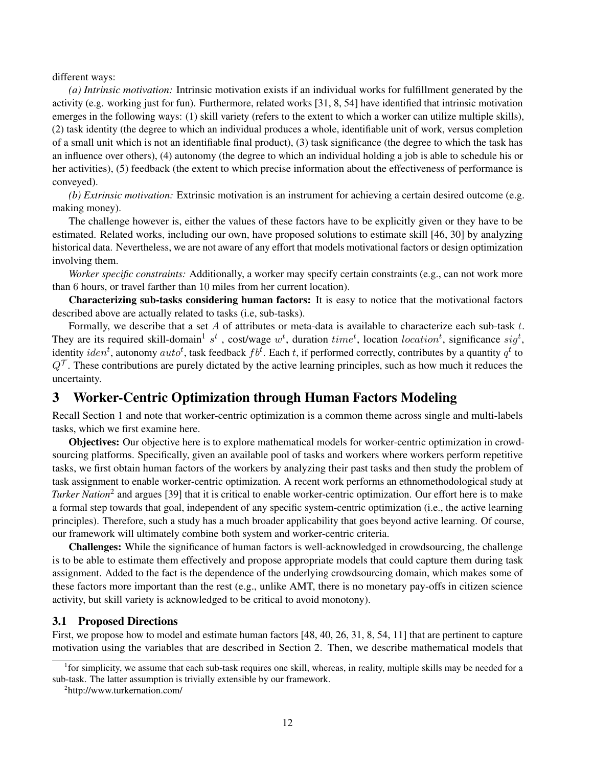#### different ways:

*(a) Intrinsic motivation:* Intrinsic motivation exists if an individual works for fulfillment generated by the activity (e.g. working just for fun). Furthermore, related works [31, 8, 54] have identified that intrinsic motivation emerges in the following ways: (1) skill variety (refers to the extent to which a worker can utilize multiple skills), (2) task identity (the degree to which an individual produces a whole, identifiable unit of work, versus completion of a small unit which is not an identifiable final product), (3) task significance (the degree to which the task has an influence over others), (4) autonomy (the degree to which an individual holding a job is able to schedule his or her activities), (5) feedback (the extent to which precise information about the effectiveness of performance is conveyed).

*(b) Extrinsic motivation:* Extrinsic motivation is an instrument for achieving a certain desired outcome (e.g. making money).

The challenge however is, either the values of these factors have to be explicitly given or they have to be estimated. Related works, including our own, have proposed solutions to estimate skill [46, 30] by analyzing historical data. Nevertheless, we are not aware of any effort that models motivational factors or design optimization involving them.

*Worker specific constraints:* Additionally, a worker may specify certain constraints (e.g., can not work more than 6 hours, or travel farther than 10 miles from her current location).

Characterizing sub-tasks considering human factors: It is easy to notice that the motivational factors described above are actually related to tasks (i.e, sub-tasks).

Formally, we describe that a set A of attributes or meta-data is available to characterize each sub-task  $t$ . They are its required skill-domain<sup>1</sup> s<sup>t</sup>, cost/wage  $w^t$ , duration  $time^t$ , location location<sup>t</sup>, significance sig<sup>t</sup>, identity  $iden^t$ , autonomy  $auto^t$ , task feedback  $fb^t$ . Each  $t$ , if performed correctly, contributes by a quantity  $q^t$  to  $Q^{\mathcal{T}}$ . These contributions are purely dictated by the active learning principles, such as how much it reduces the uncertainty.

# 3 Worker-Centric Optimization through Human Factors Modeling

Recall Section 1 and note that worker-centric optimization is a common theme across single and multi-labels tasks, which we first examine here.

Objectives: Our objective here is to explore mathematical models for worker-centric optimization in crowdsourcing platforms. Specifically, given an available pool of tasks and workers where workers perform repetitive tasks, we first obtain human factors of the workers by analyzing their past tasks and then study the problem of task assignment to enable worker-centric optimization. A recent work performs an ethnomethodological study at *Turker Nation*<sup>2</sup> and argues [39] that it is critical to enable worker-centric optimization. Our effort here is to make a formal step towards that goal, independent of any specific system-centric optimization (i.e., the active learning principles). Therefore, such a study has a much broader applicability that goes beyond active learning. Of course, our framework will ultimately combine both system and worker-centric criteria.

Challenges: While the significance of human factors is well-acknowledged in crowdsourcing, the challenge is to be able to estimate them effectively and propose appropriate models that could capture them during task assignment. Added to the fact is the dependence of the underlying crowdsourcing domain, which makes some of these factors more important than the rest (e.g., unlike AMT, there is no monetary pay-offs in citizen science activity, but skill variety is acknowledged to be critical to avoid monotony).

## 3.1 Proposed Directions

First, we propose how to model and estimate human factors [48, 40, 26, 31, 8, 54, 11] that are pertinent to capture motivation using the variables that are described in Section 2. Then, we describe mathematical models that

<sup>&</sup>lt;sup>1</sup> for simplicity, we assume that each sub-task requires one skill, whereas, in reality, multiple skills may be needed for a sub-task. The latter assumption is trivially extensible by our framework.

<sup>2</sup> http://www.turkernation.com/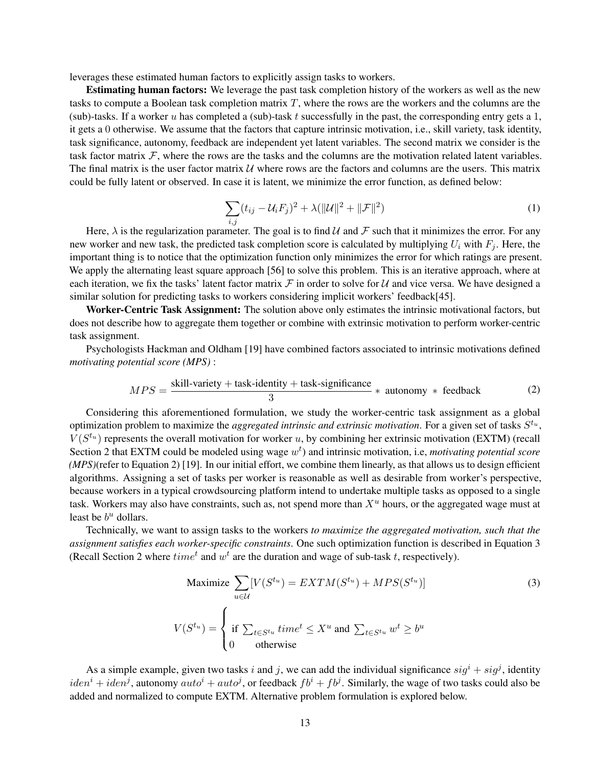leverages these estimated human factors to explicitly assign tasks to workers.

Estimating human factors: We leverage the past task completion history of the workers as well as the new tasks to compute a Boolean task completion matrix T, where the rows are the workers and the columns are the (sub)-tasks. If a worker u has completed a (sub)-task t successfully in the past, the corresponding entry gets a 1, it gets a 0 otherwise. We assume that the factors that capture intrinsic motivation, i.e., skill variety, task identity, task significance, autonomy, feedback are independent yet latent variables. The second matrix we consider is the task factor matrix  $\mathcal{F}$ , where the rows are the tasks and the columns are the motivation related latent variables. The final matrix is the user factor matrix  $U$  where rows are the factors and columns are the users. This matrix could be fully latent or observed. In case it is latent, we minimize the error function, as defined below:

$$
\sum_{i,j} (t_{ij} - \mathcal{U}_i F_j)^2 + \lambda (||\mathcal{U}||^2 + ||\mathcal{F}||^2)
$$
\n(1)

Here,  $\lambda$  is the regularization parameter. The goal is to find U and F such that it minimizes the error. For any new worker and new task, the predicted task completion score is calculated by multiplying  $U_i$  with  $F_i$ . Here, the important thing is to notice that the optimization function only minimizes the error for which ratings are present. We apply the alternating least square approach [56] to solve this problem. This is an iterative approach, where at each iteration, we fix the tasks' latent factor matrix  $\mathcal F$  in order to solve for U and vice versa. We have designed a similar solution for predicting tasks to workers considering implicit workers' feedback[45].

Worker-Centric Task Assignment: The solution above only estimates the intrinsic motivational factors, but does not describe how to aggregate them together or combine with extrinsic motivation to perform worker-centric task assignment.

Psychologists Hackman and Oldham [19] have combined factors associated to intrinsic motivations defined *motivating potential score (MPS)* :

$$
MPS = \frac{\text{skill-variety} + \text{task-identity} + \text{task-significance}}{3} * \text{ autonomous} * \text{feedback} \tag{2}
$$

Considering this aforementioned formulation, we study the worker-centric task assignment as a global optimization problem to maximize the *aggregated intrinsic and extrinsic motivation*. For a given set of tasks  $S^{t_u}$ ,  $V(S^{t_u})$  represents the overall motivation for worker u, by combining her extrinsic motivation (EXTM) (recall Section 2 that EXTM could be modeled using wage  $w<sup>t</sup>$ ) and intrinsic motivation, i.e, *motivating potential score (MPS)*(refer to Equation 2) [19]. In our initial effort, we combine them linearly, as that allows us to design efficient algorithms. Assigning a set of tasks per worker is reasonable as well as desirable from worker's perspective, because workers in a typical crowdsourcing platform intend to undertake multiple tasks as opposed to a single task. Workers may also have constraints, such as, not spend more than  $X<sup>u</sup>$  hours, or the aggregated wage must at least be  $b^u$  dollars.

Technically, we want to assign tasks to the workers *to maximize the aggregated motivation, such that the assignment satisfies each worker-specific constraints*. One such optimization function is described in Equation 3 (Recall Section 2 where  $time^t$  and  $w^t$  are the duration and wage of sub-task t, respectively).

Maximize 
$$
\sum_{u \in \mathcal{U}} [V(S^{t_u}) = EXTM(S^{t_u}) + MPS(S^{t_u})]
$$
(3)  

$$
V(S^{t_u}) = \begin{cases} \text{if } \sum_{t \in S^{t_u}} time^t \le X^u \text{ and } \sum_{t \in S^{t_u}} w^t \ge b^u\\ 0 & \text{otherwise} \end{cases}
$$

As a simple example, given two tasks i and j, we can add the individual significance  $sig^i + sig^j$ , identity  $iden^i +iden^j$ , autonomy  $auto^i + auto^j)$ , or feedback  $fb^i + fb^j$ . Similarly, the wage of two tasks could also be added and normalized to compute EXTM. Alternative problem formulation is explored below.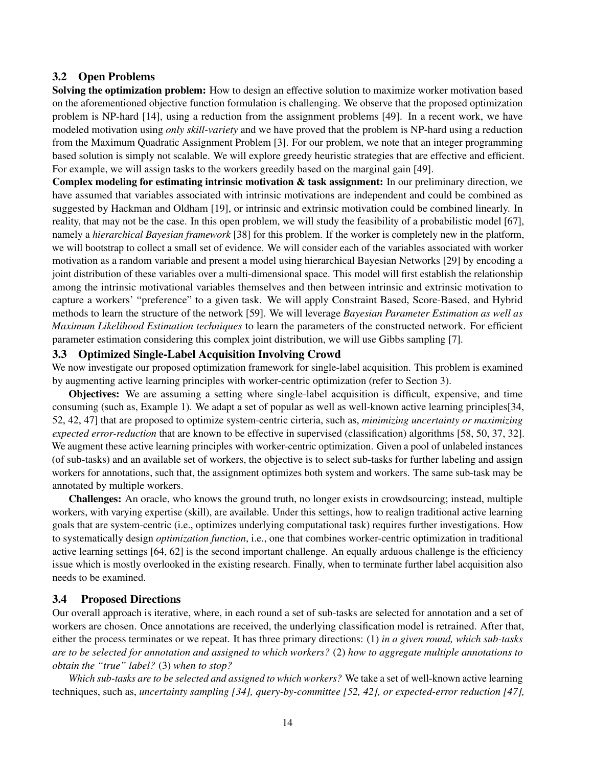#### 3.2 Open Problems

Solving the optimization problem: How to design an effective solution to maximize worker motivation based on the aforementioned objective function formulation is challenging. We observe that the proposed optimization problem is NP-hard [14], using a reduction from the assignment problems [49]. In a recent work, we have modeled motivation using *only skill-variety* and we have proved that the problem is NP-hard using a reduction from the Maximum Quadratic Assignment Problem [3]. For our problem, we note that an integer programming based solution is simply not scalable. We will explore greedy heuristic strategies that are effective and efficient. For example, we will assign tasks to the workers greedily based on the marginal gain [49].

Complex modeling for estimating intrinsic motivation & task assignment: In our preliminary direction, we have assumed that variables associated with intrinsic motivations are independent and could be combined as suggested by Hackman and Oldham [19], or intrinsic and extrinsic motivation could be combined linearly. In reality, that may not be the case. In this open problem, we will study the feasibility of a probabilistic model [67], namely a *hierarchical Bayesian framework* [38] for this problem. If the worker is completely new in the platform, we will bootstrap to collect a small set of evidence. We will consider each of the variables associated with worker motivation as a random variable and present a model using hierarchical Bayesian Networks [29] by encoding a joint distribution of these variables over a multi-dimensional space. This model will first establish the relationship among the intrinsic motivational variables themselves and then between intrinsic and extrinsic motivation to capture a workers' "preference" to a given task. We will apply Constraint Based, Score-Based, and Hybrid methods to learn the structure of the network [59]. We will leverage *Bayesian Parameter Estimation as well as Maximum Likelihood Estimation techniques* to learn the parameters of the constructed network. For efficient parameter estimation considering this complex joint distribution, we will use Gibbs sampling [7].

## 3.3 Optimized Single-Label Acquisition Involving Crowd

We now investigate our proposed optimization framework for single-label acquisition. This problem is examined by augmenting active learning principles with worker-centric optimization (refer to Section 3).

Objectives: We are assuming a setting where single-label acquisition is difficult, expensive, and time consuming (such as, Example 1). We adapt a set of popular as well as well-known active learning principles[34, 52, 42, 47] that are proposed to optimize system-centric cirteria, such as, *minimizing uncertainty or maximizing expected error-reduction* that are known to be effective in supervised (classification) algorithms [58, 50, 37, 32]. We augment these active learning principles with worker-centric optimization. Given a pool of unlabeled instances (of sub-tasks) and an available set of workers, the objective is to select sub-tasks for further labeling and assign workers for annotations, such that, the assignment optimizes both system and workers. The same sub-task may be annotated by multiple workers.

Challenges: An oracle, who knows the ground truth, no longer exists in crowdsourcing; instead, multiple workers, with varying expertise (skill), are available. Under this settings, how to realign traditional active learning goals that are system-centric (i.e., optimizes underlying computational task) requires further investigations. How to systematically design *optimization function*, i.e., one that combines worker-centric optimization in traditional active learning settings [64, 62] is the second important challenge. An equally arduous challenge is the efficiency issue which is mostly overlooked in the existing research. Finally, when to terminate further label acquisition also needs to be examined.

## 3.4 Proposed Directions

Our overall approach is iterative, where, in each round a set of sub-tasks are selected for annotation and a set of workers are chosen. Once annotations are received, the underlying classification model is retrained. After that, either the process terminates or we repeat. It has three primary directions: (1) *in a given round, which sub-tasks are to be selected for annotation and assigned to which workers?* (2) *how to aggregate multiple annotations to obtain the "true" label?* (3) *when to stop?*

*Which sub-tasks are to be selected and assigned to which workers?* We take a set of well-known active learning techniques, such as, *uncertainty sampling [34], query-by-committee [52, 42], or expected-error reduction [47],*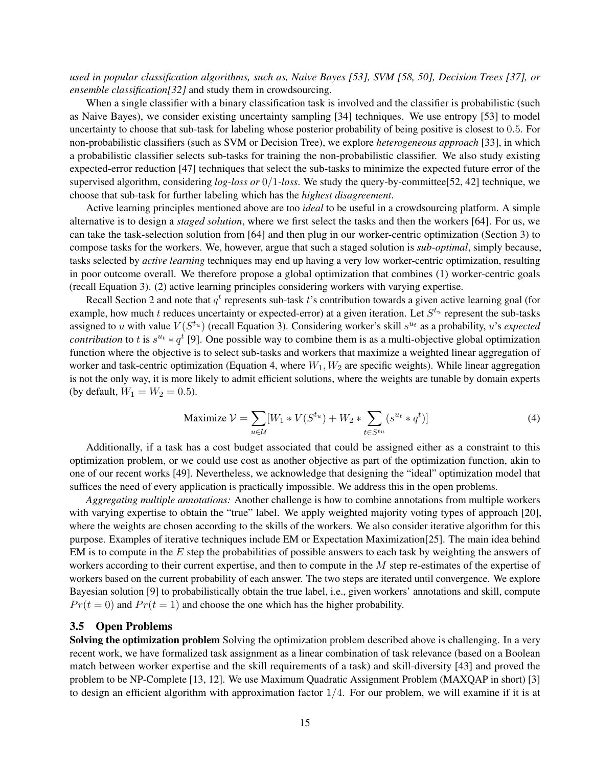*used in popular classification algorithms, such as, Naive Bayes [53], SVM [58, 50], Decision Trees [37], or ensemble classification[32]* and study them in crowdsourcing.

When a single classifier with a binary classification task is involved and the classifier is probabilistic (such as Naive Bayes), we consider existing uncertainty sampling [34] techniques. We use entropy [53] to model uncertainty to choose that sub-task for labeling whose posterior probability of being positive is closest to 0.5. For non-probabilistic classifiers (such as SVM or Decision Tree), we explore *heterogeneous approach* [33], in which a probabilistic classifier selects sub-tasks for training the non-probabilistic classifier. We also study existing expected-error reduction [47] techniques that select the sub-tasks to minimize the expected future error of the supervised algorithm, considering *log-loss or* 0/1*-loss*. We study the query-by-committee[52, 42] technique, we choose that sub-task for further labeling which has the *highest disagreement*.

Active learning principles mentioned above are too *ideal* to be useful in a crowdsourcing platform. A simple alternative is to design a *staged solution*, where we first select the tasks and then the workers [64]. For us, we can take the task-selection solution from [64] and then plug in our worker-centric optimization (Section 3) to compose tasks for the workers. We, however, argue that such a staged solution is *sub-optimal*, simply because, tasks selected by *active learning* techniques may end up having a very low worker-centric optimization, resulting in poor outcome overall. We therefore propose a global optimization that combines (1) worker-centric goals (recall Equation 3). (2) active learning principles considering workers with varying expertise.

Recall Section 2 and note that  $q^t$  represents sub-task t's contribution towards a given active learning goal (for example, how much t reduces uncertainty or expected-error) at a given iteration. Let  $S^{t_u}$  represent the sub-tasks assigned to u with value  $V(S^{t_u})$  (recall Equation 3). Considering worker's skill  $s^{u_t}$  as a probability, u's *expected contribution* to t is  $s^{u_t} * q^t$  [9]. One possible way to combine them is as a multi-objective global optimization function where the objective is to select sub-tasks and workers that maximize a weighted linear aggregation of worker and task-centric optimization (Equation 4, where  $W_1, W_2$  are specific weights). While linear aggregation is not the only way, it is more likely to admit efficient solutions, where the weights are tunable by domain experts (by default,  $W_1 = W_2 = 0.5$ ).

$$
\text{Maximize } \mathcal{V} = \sum_{u \in \mathcal{U}} [W_1 * V(S^{t_u}) + W_2 * \sum_{t \in S^{t_u}} (s^{u_t} * q^t)] \tag{4}
$$

Additionally, if a task has a cost budget associated that could be assigned either as a constraint to this optimization problem, or we could use cost as another objective as part of the optimization function, akin to one of our recent works [49]. Nevertheless, we acknowledge that designing the "ideal" optimization model that suffices the need of every application is practically impossible. We address this in the open problems.

*Aggregating multiple annotations:* Another challenge is how to combine annotations from multiple workers with varying expertise to obtain the "true" label. We apply weighted majority voting types of approach [20], where the weights are chosen according to the skills of the workers. We also consider iterative algorithm for this purpose. Examples of iterative techniques include EM or Expectation Maximization[25]. The main idea behind EM is to compute in the E step the probabilities of possible answers to each task by weighting the answers of workers according to their current expertise, and then to compute in the M step re-estimates of the expertise of workers based on the current probability of each answer. The two steps are iterated until convergence. We explore Bayesian solution [9] to probabilistically obtain the true label, i.e., given workers' annotations and skill, compute  $Pr(t = 0)$  and  $Pr(t = 1)$  and choose the one which has the higher probability.

#### 3.5 Open Problems

Solving the optimization problem Solving the optimization problem described above is challenging. In a very recent work, we have formalized task assignment as a linear combination of task relevance (based on a Boolean match between worker expertise and the skill requirements of a task) and skill-diversity [43] and proved the problem to be NP-Complete [13, 12]. We use Maximum Quadratic Assignment Problem (MAXQAP in short) [3] to design an efficient algorithm with approximation factor  $1/4$ . For our problem, we will examine if it is at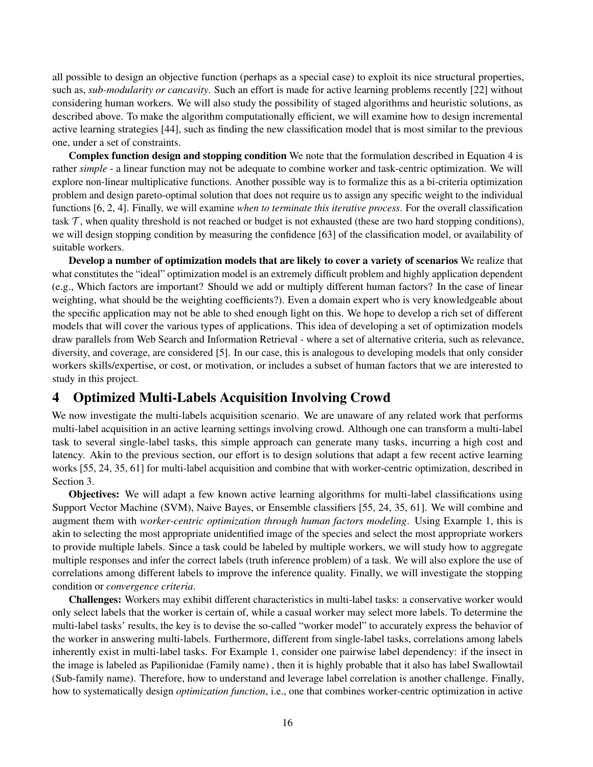all possible to design an objective function (perhaps as a special case) to exploit its nice structural properties, such as, *sub-modularity or cancavity*. Such an effort is made for active learning problems recently [22] without considering human workers. We will also study the possibility of staged algorithms and heuristic solutions, as described above. To make the algorithm computationally efficient, we will examine how to design incremental active learning strategies [44], such as finding the new classification model that is most similar to the previous one, under a set of constraints.

Complex function design and stopping condition We note that the formulation described in Equation 4 is rather *simple* - a linear function may not be adequate to combine worker and task-centric optimization. We will explore non-linear multiplicative functions. Another possible way is to formalize this as a bi-criteria optimization problem and design pareto-optimal solution that does not require us to assign any specific weight to the individual functions [6, 2, 4]. Finally, we will examine *when to terminate this iterative process*. For the overall classification task  $\tau$ , when quality threshold is not reached or budget is not exhausted (these are two hard stopping conditions), we will design stopping condition by measuring the confidence [63] of the classification model, or availability of suitable workers.

Develop a number of optimization models that are likely to cover a variety of scenarios We realize that what constitutes the "ideal" optimization model is an extremely difficult problem and highly application dependent (e.g., Which factors are important? Should we add or multiply different human factors? In the case of linear weighting, what should be the weighting coefficients?). Even a domain expert who is very knowledgeable about the specific application may not be able to shed enough light on this. We hope to develop a rich set of different models that will cover the various types of applications. This idea of developing a set of optimization models draw parallels from Web Search and Information Retrieval - where a set of alternative criteria, such as relevance, diversity, and coverage, are considered [5]. In our case, this is analogous to developing models that only consider workers skills/expertise, or cost, or motivation, or includes a subset of human factors that we are interested to study in this project.

# 4 Optimized Multi-Labels Acquisition Involving Crowd

We now investigate the multi-labels acquisition scenario. We are unaware of any related work that performs multi-label acquisition in an active learning settings involving crowd. Although one can transform a multi-label task to several single-label tasks, this simple approach can generate many tasks, incurring a high cost and latency. Akin to the previous section, our effort is to design solutions that adapt a few recent active learning works [55, 24, 35, 61] for multi-label acquisition and combine that with worker-centric optimization, described in Section 3.

Objectives: We will adapt a few known active learning algorithms for multi-label classifications using Support Vector Machine (SVM), Naive Bayes, or Ensemble classifiers [55, 24, 35, 61]. We will combine and augment them with *worker-centric optimization through human factors modeling*. Using Example 1, this is akin to selecting the most appropriate unidentified image of the species and select the most appropriate workers to provide multiple labels. Since a task could be labeled by multiple workers, we will study how to aggregate multiple responses and infer the correct labels (truth inference problem) of a task. We will also explore the use of correlations among different labels to improve the inference quality. Finally, we will investigate the stopping condition or *convergence criteria*.

Challenges: Workers may exhibit different characteristics in multi-label tasks: a conservative worker would only select labels that the worker is certain of, while a casual worker may select more labels. To determine the multi-label tasks' results, the key is to devise the so-called "worker model" to accurately express the behavior of the worker in answering multi-labels. Furthermore, different from single-label tasks, correlations among labels inherently exist in multi-label tasks. For Example 1, consider one pairwise label dependency: if the insect in the image is labeled as Papilionidae (Family name) , then it is highly probable that it also has label Swallowtail (Sub-family name). Therefore, how to understand and leverage label correlation is another challenge. Finally, how to systematically design *optimization function*, i.e., one that combines worker-centric optimization in active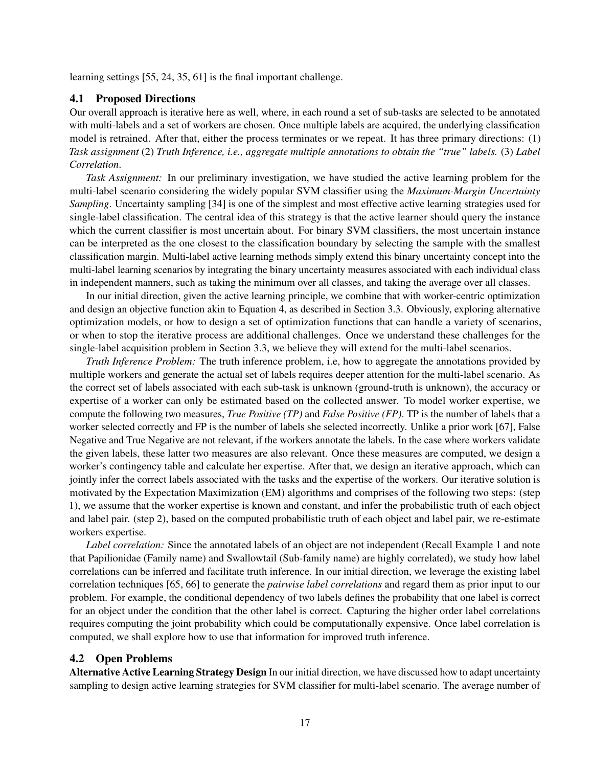learning settings [55, 24, 35, 61] is the final important challenge.

## 4.1 Proposed Directions

Our overall approach is iterative here as well, where, in each round a set of sub-tasks are selected to be annotated with multi-labels and a set of workers are chosen. Once multiple labels are acquired, the underlying classification model is retrained. After that, either the process terminates or we repeat. It has three primary directions: (1) *Task assignment* (2) *Truth Inference, i.e., aggregate multiple annotations to obtain the "true" labels.* (3) *Label Correlation*.

*Task Assignment:* In our preliminary investigation, we have studied the active learning problem for the multi-label scenario considering the widely popular SVM classifier using the *Maximum-Margin Uncertainty Sampling*. Uncertainty sampling [34] is one of the simplest and most effective active learning strategies used for single-label classification. The central idea of this strategy is that the active learner should query the instance which the current classifier is most uncertain about. For binary SVM classifiers, the most uncertain instance can be interpreted as the one closest to the classification boundary by selecting the sample with the smallest classification margin. Multi-label active learning methods simply extend this binary uncertainty concept into the multi-label learning scenarios by integrating the binary uncertainty measures associated with each individual class in independent manners, such as taking the minimum over all classes, and taking the average over all classes.

In our initial direction, given the active learning principle, we combine that with worker-centric optimization and design an objective function akin to Equation 4, as described in Section 3.3. Obviously, exploring alternative optimization models, or how to design a set of optimization functions that can handle a variety of scenarios, or when to stop the iterative process are additional challenges. Once we understand these challenges for the single-label acquisition problem in Section 3.3, we believe they will extend for the multi-label scenarios.

*Truth Inference Problem:* The truth inference problem, i.e, how to aggregate the annotations provided by multiple workers and generate the actual set of labels requires deeper attention for the multi-label scenario. As the correct set of labels associated with each sub-task is unknown (ground-truth is unknown), the accuracy or expertise of a worker can only be estimated based on the collected answer. To model worker expertise, we compute the following two measures, *True Positive (TP)* and *False Positive (FP)*. TP is the number of labels that a worker selected correctly and FP is the number of labels she selected incorrectly. Unlike a prior work [67], False Negative and True Negative are not relevant, if the workers annotate the labels. In the case where workers validate the given labels, these latter two measures are also relevant. Once these measures are computed, we design a worker's contingency table and calculate her expertise. After that, we design an iterative approach, which can jointly infer the correct labels associated with the tasks and the expertise of the workers. Our iterative solution is motivated by the Expectation Maximization (EM) algorithms and comprises of the following two steps: (step 1), we assume that the worker expertise is known and constant, and infer the probabilistic truth of each object and label pair. (step 2), based on the computed probabilistic truth of each object and label pair, we re-estimate workers expertise.

*Label correlation:* Since the annotated labels of an object are not independent (Recall Example 1 and note that Papilionidae (Family name) and Swallowtail (Sub-family name) are highly correlated), we study how label correlations can be inferred and facilitate truth inference. In our initial direction, we leverage the existing label correlation techniques [65, 66] to generate the *pairwise label correlations* and regard them as prior input to our problem. For example, the conditional dependency of two labels defines the probability that one label is correct for an object under the condition that the other label is correct. Capturing the higher order label correlations requires computing the joint probability which could be computationally expensive. Once label correlation is computed, we shall explore how to use that information for improved truth inference.

## 4.2 Open Problems

Alternative Active Learning Strategy Design In our initial direction, we have discussed how to adapt uncertainty sampling to design active learning strategies for SVM classifier for multi-label scenario. The average number of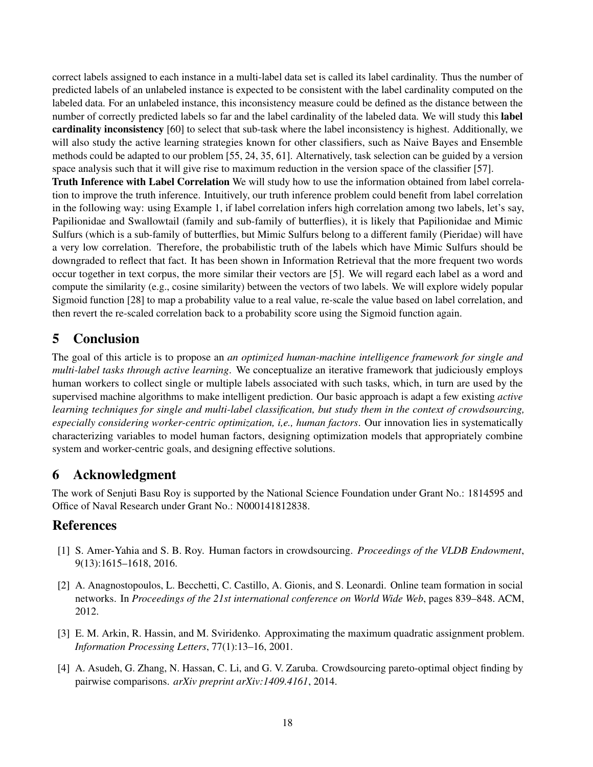correct labels assigned to each instance in a multi-label data set is called its label cardinality. Thus the number of predicted labels of an unlabeled instance is expected to be consistent with the label cardinality computed on the labeled data. For an unlabeled instance, this inconsistency measure could be defined as the distance between the number of correctly predicted labels so far and the label cardinality of the labeled data. We will study this label cardinality inconsistency [60] to select that sub-task where the label inconsistency is highest. Additionally, we will also study the active learning strategies known for other classifiers, such as Naive Bayes and Ensemble methods could be adapted to our problem [55, 24, 35, 61]. Alternatively, task selection can be guided by a version space analysis such that it will give rise to maximum reduction in the version space of the classifier [57].

Truth Inference with Label Correlation We will study how to use the information obtained from label correlation to improve the truth inference. Intuitively, our truth inference problem could benefit from label correlation in the following way: using Example 1, if label correlation infers high correlation among two labels, let's say, Papilionidae and Swallowtail (family and sub-family of butterflies), it is likely that Papilionidae and Mimic Sulfurs (which is a sub-family of butterflies, but Mimic Sulfurs belong to a different family (Pieridae) will have a very low correlation. Therefore, the probabilistic truth of the labels which have Mimic Sulfurs should be downgraded to reflect that fact. It has been shown in Information Retrieval that the more frequent two words occur together in text corpus, the more similar their vectors are [5]. We will regard each label as a word and compute the similarity (e.g., cosine similarity) between the vectors of two labels. We will explore widely popular Sigmoid function [28] to map a probability value to a real value, re-scale the value based on label correlation, and then revert the re-scaled correlation back to a probability score using the Sigmoid function again.

# 5 Conclusion

The goal of this article is to propose an *an optimized human-machine intelligence framework for single and multi-label tasks through active learning*. We conceptualize an iterative framework that judiciously employs human workers to collect single or multiple labels associated with such tasks, which, in turn are used by the supervised machine algorithms to make intelligent prediction. Our basic approach is adapt a few existing *active learning techniques for single and multi-label classification, but study them in the context of crowdsourcing, especially considering worker-centric optimization, i,e., human factors*. Our innovation lies in systematically characterizing variables to model human factors, designing optimization models that appropriately combine system and worker-centric goals, and designing effective solutions.

# 6 Acknowledgment

The work of Senjuti Basu Roy is supported by the National Science Foundation under Grant No.: 1814595 and Office of Naval Research under Grant No.: N000141812838.

# References

- [1] S. Amer-Yahia and S. B. Roy. Human factors in crowdsourcing. *Proceedings of the VLDB Endowment*, 9(13):1615–1618, 2016.
- [2] A. Anagnostopoulos, L. Becchetti, C. Castillo, A. Gionis, and S. Leonardi. Online team formation in social networks. In *Proceedings of the 21st international conference on World Wide Web*, pages 839–848. ACM, 2012.
- [3] E. M. Arkin, R. Hassin, and M. Sviridenko. Approximating the maximum quadratic assignment problem. *Information Processing Letters*, 77(1):13–16, 2001.
- [4] A. Asudeh, G. Zhang, N. Hassan, C. Li, and G. V. Zaruba. Crowdsourcing pareto-optimal object finding by pairwise comparisons. *arXiv preprint arXiv:1409.4161*, 2014.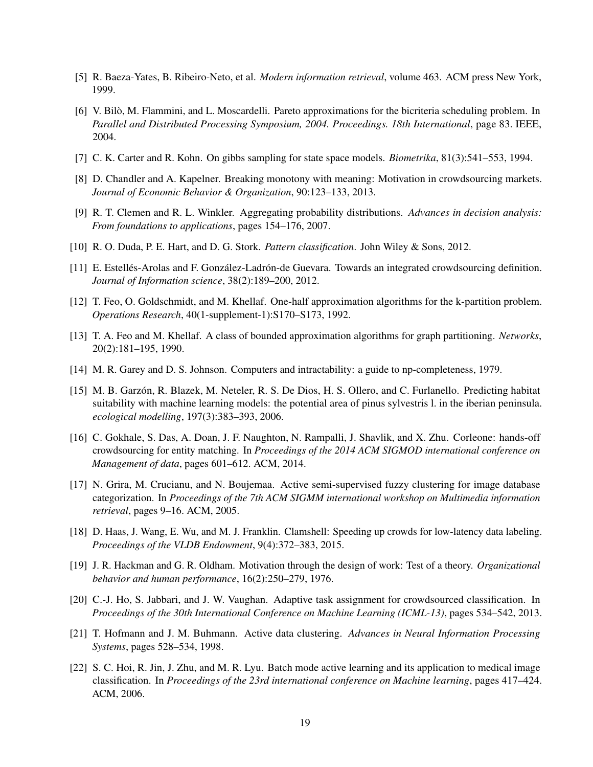- [5] R. Baeza-Yates, B. Ribeiro-Neto, et al. *Modern information retrieval*, volume 463. ACM press New York, 1999.
- [6] V. Bilo, M. Flammini, and L. Moscardelli. Pareto approximations for the bicriteria scheduling problem. In ` *Parallel and Distributed Processing Symposium, 2004. Proceedings. 18th International*, page 83. IEEE, 2004.
- [7] C. K. Carter and R. Kohn. On gibbs sampling for state space models. *Biometrika*, 81(3):541–553, 1994.
- [8] D. Chandler and A. Kapelner. Breaking monotony with meaning: Motivation in crowdsourcing markets. *Journal of Economic Behavior & Organization*, 90:123–133, 2013.
- [9] R. T. Clemen and R. L. Winkler. Aggregating probability distributions. *Advances in decision analysis: From foundations to applications*, pages 154–176, 2007.
- [10] R. O. Duda, P. E. Hart, and D. G. Stork. *Pattern classification*. John Wiley & Sons, 2012.
- [11] E. Estellés-Arolas and F. González-Ladrón-de Guevara. Towards an integrated crowdsourcing definition. *Journal of Information science*, 38(2):189–200, 2012.
- [12] T. Feo, O. Goldschmidt, and M. Khellaf. One-half approximation algorithms for the k-partition problem. *Operations Research*, 40(1-supplement-1):S170–S173, 1992.
- [13] T. A. Feo and M. Khellaf. A class of bounded approximation algorithms for graph partitioning. *Networks*, 20(2):181–195, 1990.
- [14] M. R. Garey and D. S. Johnson. Computers and intractability: a guide to np-completeness, 1979.
- [15] M. B. Garzón, R. Blazek, M. Neteler, R. S. De Dios, H. S. Ollero, and C. Furlanello. Predicting habitat suitability with machine learning models: the potential area of pinus sylvestris l. in the iberian peninsula. *ecological modelling*, 197(3):383–393, 2006.
- [16] C. Gokhale, S. Das, A. Doan, J. F. Naughton, N. Rampalli, J. Shavlik, and X. Zhu. Corleone: hands-off crowdsourcing for entity matching. In *Proceedings of the 2014 ACM SIGMOD international conference on Management of data*, pages 601–612. ACM, 2014.
- [17] N. Grira, M. Crucianu, and N. Boujemaa. Active semi-supervised fuzzy clustering for image database categorization. In *Proceedings of the 7th ACM SIGMM international workshop on Multimedia information retrieval*, pages 9–16. ACM, 2005.
- [18] D. Haas, J. Wang, E. Wu, and M. J. Franklin. Clamshell: Speeding up crowds for low-latency data labeling. *Proceedings of the VLDB Endowment*, 9(4):372–383, 2015.
- [19] J. R. Hackman and G. R. Oldham. Motivation through the design of work: Test of a theory. *Organizational behavior and human performance*, 16(2):250–279, 1976.
- [20] C.-J. Ho, S. Jabbari, and J. W. Vaughan. Adaptive task assignment for crowdsourced classification. In *Proceedings of the 30th International Conference on Machine Learning (ICML-13)*, pages 534–542, 2013.
- [21] T. Hofmann and J. M. Buhmann. Active data clustering. *Advances in Neural Information Processing Systems*, pages 528–534, 1998.
- [22] S. C. Hoi, R. Jin, J. Zhu, and M. R. Lyu. Batch mode active learning and its application to medical image classification. In *Proceedings of the 23rd international conference on Machine learning*, pages 417–424. ACM, 2006.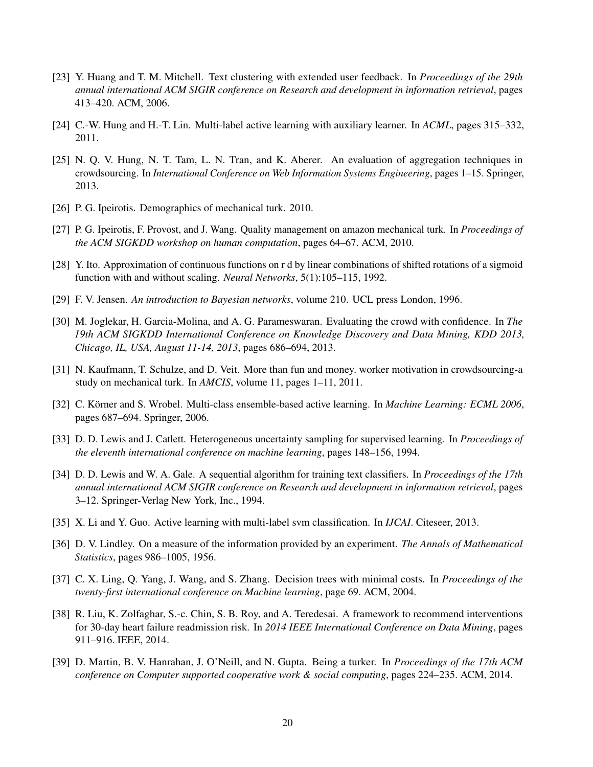- [23] Y. Huang and T. M. Mitchell. Text clustering with extended user feedback. In *Proceedings of the 29th annual international ACM SIGIR conference on Research and development in information retrieval*, pages 413–420. ACM, 2006.
- [24] C.-W. Hung and H.-T. Lin. Multi-label active learning with auxiliary learner. In *ACML*, pages 315–332, 2011.
- [25] N. Q. V. Hung, N. T. Tam, L. N. Tran, and K. Aberer. An evaluation of aggregation techniques in crowdsourcing. In *International Conference on Web Information Systems Engineering*, pages 1–15. Springer, 2013.
- [26] P. G. Ipeirotis. Demographics of mechanical turk. 2010.
- [27] P. G. Ipeirotis, F. Provost, and J. Wang. Quality management on amazon mechanical turk. In *Proceedings of the ACM SIGKDD workshop on human computation*, pages 64–67. ACM, 2010.
- [28] Y. Ito. Approximation of continuous functions on r d by linear combinations of shifted rotations of a sigmoid function with and without scaling. *Neural Networks*, 5(1):105–115, 1992.
- [29] F. V. Jensen. *An introduction to Bayesian networks*, volume 210. UCL press London, 1996.
- [30] M. Joglekar, H. Garcia-Molina, and A. G. Parameswaran. Evaluating the crowd with confidence. In *The 19th ACM SIGKDD International Conference on Knowledge Discovery and Data Mining, KDD 2013, Chicago, IL, USA, August 11-14, 2013*, pages 686–694, 2013.
- [31] N. Kaufmann, T. Schulze, and D. Veit. More than fun and money. worker motivation in crowdsourcing-a study on mechanical turk. In *AMCIS*, volume 11, pages 1–11, 2011.
- [32] C. Körner and S. Wrobel. Multi-class ensemble-based active learning. In *Machine Learning: ECML 2006*, pages 687–694. Springer, 2006.
- [33] D. D. Lewis and J. Catlett. Heterogeneous uncertainty sampling for supervised learning. In *Proceedings of the eleventh international conference on machine learning*, pages 148–156, 1994.
- [34] D. D. Lewis and W. A. Gale. A sequential algorithm for training text classifiers. In *Proceedings of the 17th annual international ACM SIGIR conference on Research and development in information retrieval*, pages 3–12. Springer-Verlag New York, Inc., 1994.
- [35] X. Li and Y. Guo. Active learning with multi-label svm classification. In *IJCAI*. Citeseer, 2013.
- [36] D. V. Lindley. On a measure of the information provided by an experiment. *The Annals of Mathematical Statistics*, pages 986–1005, 1956.
- [37] C. X. Ling, Q. Yang, J. Wang, and S. Zhang. Decision trees with minimal costs. In *Proceedings of the twenty-first international conference on Machine learning*, page 69. ACM, 2004.
- [38] R. Liu, K. Zolfaghar, S.-c. Chin, S. B. Roy, and A. Teredesai. A framework to recommend interventions for 30-day heart failure readmission risk. In *2014 IEEE International Conference on Data Mining*, pages 911–916. IEEE, 2014.
- [39] D. Martin, B. V. Hanrahan, J. O'Neill, and N. Gupta. Being a turker. In *Proceedings of the 17th ACM conference on Computer supported cooperative work & social computing*, pages 224–235. ACM, 2014.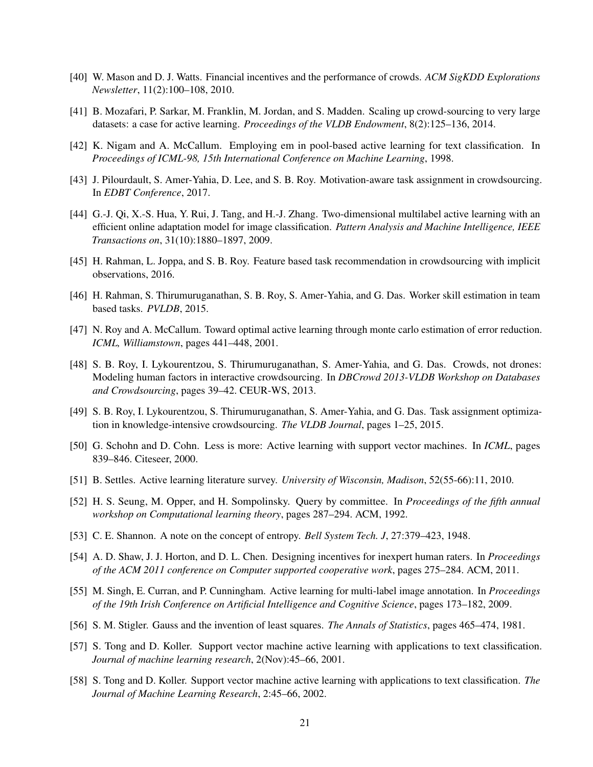- [40] W. Mason and D. J. Watts. Financial incentives and the performance of crowds. *ACM SigKDD Explorations Newsletter*, 11(2):100–108, 2010.
- [41] B. Mozafari, P. Sarkar, M. Franklin, M. Jordan, and S. Madden. Scaling up crowd-sourcing to very large datasets: a case for active learning. *Proceedings of the VLDB Endowment*, 8(2):125–136, 2014.
- [42] K. Nigam and A. McCallum. Employing em in pool-based active learning for text classification. In *Proceedings of ICML-98, 15th International Conference on Machine Learning*, 1998.
- [43] J. Pilourdault, S. Amer-Yahia, D. Lee, and S. B. Roy. Motivation-aware task assignment in crowdsourcing. In *EDBT Conference*, 2017.
- [44] G.-J. Qi, X.-S. Hua, Y. Rui, J. Tang, and H.-J. Zhang. Two-dimensional multilabel active learning with an efficient online adaptation model for image classification. *Pattern Analysis and Machine Intelligence, IEEE Transactions on*, 31(10):1880–1897, 2009.
- [45] H. Rahman, L. Joppa, and S. B. Roy. Feature based task recommendation in crowdsourcing with implicit observations, 2016.
- [46] H. Rahman, S. Thirumuruganathan, S. B. Roy, S. Amer-Yahia, and G. Das. Worker skill estimation in team based tasks. *PVLDB*, 2015.
- [47] N. Roy and A. McCallum. Toward optimal active learning through monte carlo estimation of error reduction. *ICML, Williamstown*, pages 441–448, 2001.
- [48] S. B. Roy, I. Lykourentzou, S. Thirumuruganathan, S. Amer-Yahia, and G. Das. Crowds, not drones: Modeling human factors in interactive crowdsourcing. In *DBCrowd 2013-VLDB Workshop on Databases and Crowdsourcing*, pages 39–42. CEUR-WS, 2013.
- [49] S. B. Roy, I. Lykourentzou, S. Thirumuruganathan, S. Amer-Yahia, and G. Das. Task assignment optimization in knowledge-intensive crowdsourcing. *The VLDB Journal*, pages 1–25, 2015.
- [50] G. Schohn and D. Cohn. Less is more: Active learning with support vector machines. In *ICML*, pages 839–846. Citeseer, 2000.
- [51] B. Settles. Active learning literature survey. *University of Wisconsin, Madison*, 52(55-66):11, 2010.
- [52] H. S. Seung, M. Opper, and H. Sompolinsky. Query by committee. In *Proceedings of the fifth annual workshop on Computational learning theory*, pages 287–294. ACM, 1992.
- [53] C. E. Shannon. A note on the concept of entropy. *Bell System Tech. J*, 27:379–423, 1948.
- [54] A. D. Shaw, J. J. Horton, and D. L. Chen. Designing incentives for inexpert human raters. In *Proceedings of the ACM 2011 conference on Computer supported cooperative work*, pages 275–284. ACM, 2011.
- [55] M. Singh, E. Curran, and P. Cunningham. Active learning for multi-label image annotation. In *Proceedings of the 19th Irish Conference on Artificial Intelligence and Cognitive Science*, pages 173–182, 2009.
- [56] S. M. Stigler. Gauss and the invention of least squares. *The Annals of Statistics*, pages 465–474, 1981.
- [57] S. Tong and D. Koller. Support vector machine active learning with applications to text classification. *Journal of machine learning research*, 2(Nov):45–66, 2001.
- [58] S. Tong and D. Koller. Support vector machine active learning with applications to text classification. *The Journal of Machine Learning Research*, 2:45–66, 2002.